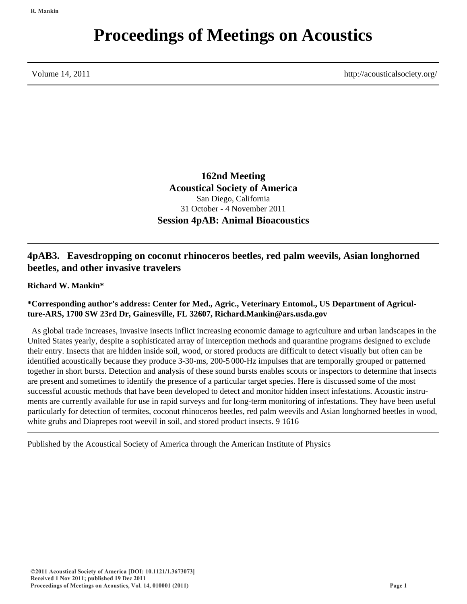# **Proceedings of Meetings on Acoustics**

Volume 14, 2011 http://acousticalsociety.org/

**162nd Meeting Acoustical Society of America** San Diego, California 31 October - 4 November 2011 **Session 4pAB: Animal Bioacoustics**

# **4pAB3. Eavesdropping on coconut rhinoceros beetles, red palm weevils, Asian longhorned beetles, and other invasive travelers**

**Richard W. Mankin\***

## **\*Corresponding author's address: Center for Med., Agric., Veterinary Entomol., US Department of Agriculture-ARS, 1700 SW 23rd Dr, Gainesville, FL 32607, Richard.Mankin@ars.usda.gov**

 As global trade increases, invasive insects inflict increasing economic damage to agriculture and urban landscapes in the United States yearly, despite a sophisticated array of interception methods and quarantine programs designed to exclude their entry. Insects that are hidden inside soil, wood, or stored products are difficult to detect visually but often can be identified acoustically because they produce 3-30-ms, 200-5 000-Hz impulses that are temporally grouped or patterned together in short bursts. Detection and analysis of these sound bursts enables scouts or inspectors to determine that insects are present and sometimes to identify the presence of a particular target species. Here is discussed some of the most successful acoustic methods that have been developed to detect and monitor hidden insect infestations. Acoustic instruments are currently available for use in rapid surveys and for long-term monitoring of infestations. They have been useful particularly for detection of termites, coconut rhinoceros beetles, red palm weevils and Asian longhorned beetles in wood, white grubs and Diaprepes root weevil in soil, and stored product insects. 9 1616

Published by the Acoustical Society of America through the American Institute of Physics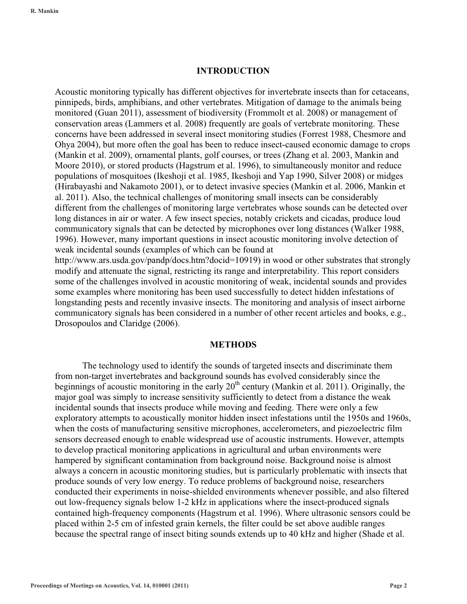#### **INTRODUCTION**

Acoustic monitoring typically has different objectives for invertebrate insects than for cetaceans, pinnipeds, birds, amphibians, and other vertebrates. Mitigation of damage to the animals being monitored (Guan 2011), assessment of biodiversity (Frommolt et al. 2008) or management of conservation areas (Lammers et al. 2008) frequently are goals of vertebrate monitoring. These concerns have been addressed in several insect monitoring studies (Forrest 1988, Chesmore and Ohya 2004), but more often the goal has been to reduce insect-caused economic damage to crops (Mankin et al. 2009), ornamental plants, golf courses, or trees (Zhang et al. 2003, Mankin and Moore 2010), or stored products (Hagstrum et al. 1996), to simultaneously monitor and reduce populations of mosquitoes (Ikeshoji et al. 1985, Ikeshoji and Yap 1990, Silver 2008) or midges (Hirabayashi and Nakamoto 2001), or to detect invasive species (Mankin et al. 2006, Mankin et al. 2011). Also, the technical challenges of monitoring small insects can be considerably different from the challenges of monitoring large vertebrates whose sounds can be detected over long distances in air or water. A few insect species, notably crickets and cicadas, produce loud communicatory signals that can be detected by microphones over long distances (Walker 1988, 1996). However, many important questions in insect acoustic monitoring involve detection of weak incidental sounds (examples of which can be found at

http://www.ars.usda.gov/pandp/docs.htm?docid=10919) in wood or other substrates that strongly modify and attenuate the signal, restricting its range and interpretability. This report considers some of the challenges involved in acoustic monitoring of weak, incidental sounds and provides some examples where monitoring has been used successfully to detect hidden infestations of longstanding pests and recently invasive insects. The monitoring and analysis of insect airborne communicatory signals has been considered in a number of other recent articles and books, e.g., Drosopoulos and Claridge (2006).

#### **METHODS**

 The technology used to identify the sounds of targeted insects and discriminate them from non-target invertebrates and background sounds has evolved considerably since the beginnings of acoustic monitoring in the early  $20<sup>th</sup>$  century (Mankin et al. 2011). Originally, the major goal was simply to increase sensitivity sufficiently to detect from a distance the weak incidental sounds that insects produce while moving and feeding. There were only a few exploratory attempts to acoustically monitor hidden insect infestations until the 1950s and 1960s, when the costs of manufacturing sensitive microphones, accelerometers, and piezoelectric film sensors decreased enough to enable widespread use of acoustic instruments. However, attempts to develop practical monitoring applications in agricultural and urban environments were hampered by significant contamination from background noise. Background noise is almost always a concern in acoustic monitoring studies, but is particularly problematic with insects that produce sounds of very low energy. To reduce problems of background noise, researchers conducted their experiments in noise-shielded environments whenever possible, and also filtered out low-frequency signals below 1-2 kHz in applications where the insect-produced signals contained high-frequency components (Hagstrum et al. 1996). Where ultrasonic sensors could be placed within 2-5 cm of infested grain kernels, the filter could be set above audible ranges because the spectral range of insect biting sounds extends up to 40 kHz and higher (Shade et al.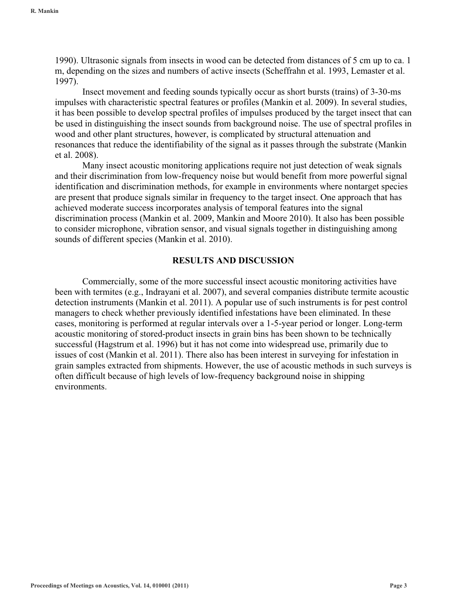1990). Ultrasonic signals from insects in wood can be detected from distances of 5 cm up to ca. 1 m, depending on the sizes and numbers of active insects (Scheffrahn et al. 1993, Lemaster et al. 1997).

Insect movement and feeding sounds typically occur as short bursts (trains) of 3-30-ms impulses with characteristic spectral features or profiles (Mankin et al. 2009). In several studies, it has been possible to develop spectral profiles of impulses produced by the target insect that can be used in distinguishing the insect sounds from background noise. The use of spectral profiles in wood and other plant structures, however, is complicated by structural attenuation and resonances that reduce the identifiability of the signal as it passes through the substrate (Mankin et al. 2008).

Many insect acoustic monitoring applications require not just detection of weak signals and their discrimination from low-frequency noise but would benefit from more powerful signal identification and discrimination methods, for example in environments where nontarget species are present that produce signals similar in frequency to the target insect. One approach that has achieved moderate success incorporates analysis of temporal features into the signal discrimination process (Mankin et al. 2009, Mankin and Moore 2010). It also has been possible to consider microphone, vibration sensor, and visual signals together in distinguishing among sounds of different species (Mankin et al. 2010).

#### **RESULTS AND DISCUSSION**

 Commercially, some of the more successful insect acoustic monitoring activities have been with termites (e.g., Indrayani et al. 2007), and several companies distribute termite acoustic detection instruments (Mankin et al. 2011). A popular use of such instruments is for pest control managers to check whether previously identified infestations have been eliminated. In these cases, monitoring is performed at regular intervals over a 1-5-year period or longer. Long-term acoustic monitoring of stored-product insects in grain bins has been shown to be technically successful (Hagstrum et al. 1996) but it has not come into widespread use, primarily due to issues of cost (Mankin et al. 2011). There also has been interest in surveying for infestation in grain samples extracted from shipments. However, the use of acoustic methods in such surveys is often difficult because of high levels of low-frequency background noise in shipping environments.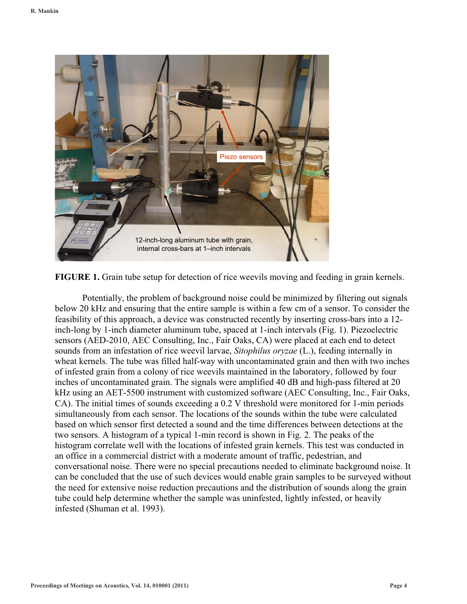



Potentially, the problem of background noise could be minimized by filtering out signals below 20 kHz and ensuring that the entire sample is within a few cm of a sensor. To consider the feasibility of this approach, a device was constructed recently by inserting cross-bars into a 12 inch-long by 1-inch diameter aluminum tube, spaced at 1-inch intervals (Fig. 1). Piezoelectric sensors (AED-2010, AEC Consulting, Inc., Fair Oaks, CA) were placed at each end to detect sounds from an infestation of rice weevil larvae, *Sitophilus oryzae* (L.), feeding internally in wheat kernels. The tube was filled half-way with uncontaminated grain and then with two inches of infested grain from a colony of rice weevils maintained in the laboratory, followed by four inches of uncontaminated grain. The signals were amplified 40 dB and high-pass filtered at 20 kHz using an AET-5500 instrument with customized software (AEC Consulting, Inc., Fair Oaks, CA). The initial times of sounds exceeding a 0.2 V threshold were monitored for 1-min periods simultaneously from each sensor. The locations of the sounds within the tube were calculated based on which sensor first detected a sound and the time differences between detections at the two sensors. A histogram of a typical 1-min record is shown in Fig. 2. The peaks of the histogram correlate well with the locations of infested grain kernels. This test was conducted in an office in a commercial district with a moderate amount of traffic, pedestrian, and conversational noise. There were no special precautions needed to eliminate background noise. It can be concluded that the use of such devices would enable grain samples to be surveyed without the need for extensive noise reduction precautions and the distribution of sounds along the grain tube could help determine whether the sample was uninfested, lightly infested, or heavily infested (Shuman et al. 1993).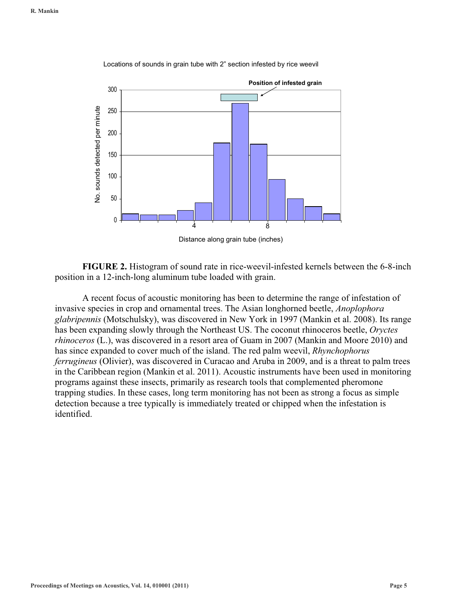

Locations of sounds in grain tube with 2" section infested by rice weevil

**FIGURE 2.** Histogram of sound rate in rice-weevil-infested kernels between the 6-8-inch position in a 12-inch-long aluminum tube loaded with grain.

 A recent focus of acoustic monitoring has been to determine the range of infestation of invasive species in crop and ornamental trees. The Asian longhorned beetle, *Anoplophora glabripennis* (Motschulsky), was discovered in New York in 1997 (Mankin et al. 2008). Its range has been expanding slowly through the Northeast US. The coconut rhinoceros beetle, *Oryctes rhinoceros* (L.), was discovered in a resort area of Guam in 2007 (Mankin and Moore 2010) and has since expanded to cover much of the island. The red palm weevil, *Rhynchophorus ferrugineus* (Olivier), was discovered in Curacao and Aruba in 2009, and is a threat to palm trees in the Caribbean region (Mankin et al. 2011). Acoustic instruments have been used in monitoring programs against these insects, primarily as research tools that complemented pheromone trapping studies. In these cases, long term monitoring has not been as strong a focus as simple detection because a tree typically is immediately treated or chipped when the infestation is identified.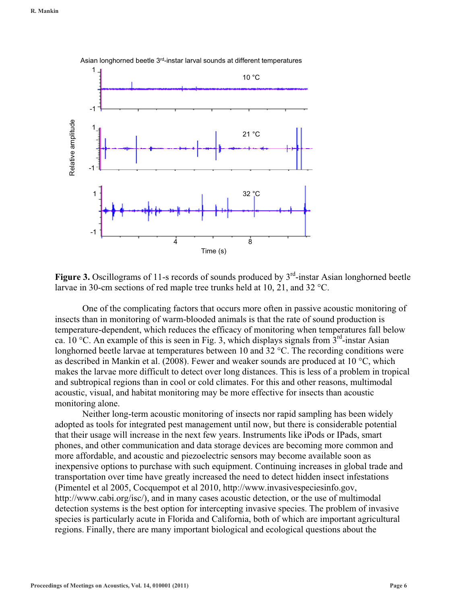

Figure 3. Oscillograms of 11-s records of sounds produced by 3<sup>rd</sup>-instar Asian longhorned beetle larvae in 30-cm sections of red maple tree trunks held at 10, 21, and 32 °C.

One of the complicating factors that occurs more often in passive acoustic monitoring of insects than in monitoring of warm-blooded animals is that the rate of sound production is temperature-dependent, which reduces the efficacy of monitoring when temperatures fall below ca. 10 °C. An example of this is seen in Fig. 3, which displays signals from  $3<sup>rd</sup>$ -instar Asian longhorned beetle larvae at temperatures between 10 and 32 °C. The recording conditions were as described in Mankin et al. (2008). Fewer and weaker sounds are produced at 10 °C, which makes the larvae more difficult to detect over long distances. This is less of a problem in tropical and subtropical regions than in cool or cold climates. For this and other reasons, multimodal acoustic, visual, and habitat monitoring may be more effective for insects than acoustic monitoring alone.

Neither long-term acoustic monitoring of insects nor rapid sampling has been widely adopted as tools for integrated pest management until now, but there is considerable potential that their usage will increase in the next few years. Instruments like iPods or IPads, smart phones, and other communication and data storage devices are becoming more common and more affordable, and acoustic and piezoelectric sensors may become available soon as inexpensive options to purchase with such equipment. Continuing increases in global trade and transportation over time have greatly increased the need to detect hidden insect infestations (Pimentel et al 2005, Cocquempot et al 2010, http://www.invasivespeciesinfo.gov, http://www.cabi.org/isc/), and in many cases acoustic detection, or the use of multimodal detection systems is the best option for intercepting invasive species. The problem of invasive species is particularly acute in Florida and California, both of which are important agricultural regions. Finally, there are many important biological and ecological questions about the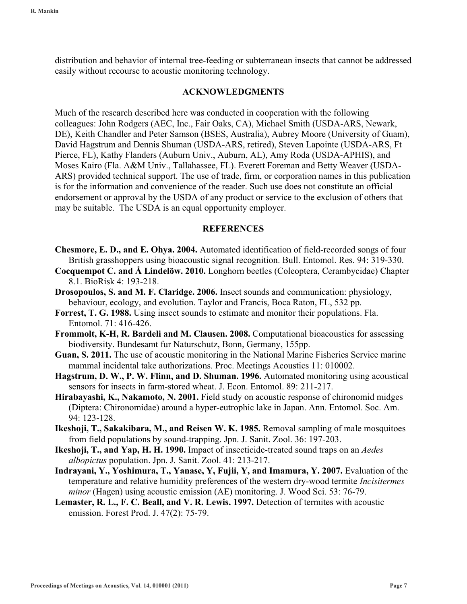distribution and behavior of internal tree-feeding or subterranean insects that cannot be addressed easily without recourse to acoustic monitoring technology.

## **ACKNOWLEDGMENTS**

Much of the research described here was conducted in cooperation with the following colleagues: John Rodgers (AEC, Inc., Fair Oaks, CA), Michael Smith (USDA-ARS, Newark, DE), Keith Chandler and Peter Samson (BSES, Australia), Aubrey Moore (University of Guam), David Hagstrum and Dennis Shuman (USDA-ARS, retired), Steven Lapointe (USDA-ARS, Ft Pierce, FL), Kathy Flanders (Auburn Univ., Auburn, AL), Amy Roda (USDA-APHIS), and Moses Kairo (Fla. A&M Univ., Tallahassee, FL). Everett Foreman and Betty Weaver (USDA-ARS) provided technical support. The use of trade, firm, or corporation names in this publication is for the information and convenience of the reader. Such use does not constitute an official endorsement or approval by the USDA of any product or service to the exclusion of others that may be suitable. The USDA is an equal opportunity employer.

# **REFERENCES**

- **Chesmore, E. D., and E. Ohya. 2004.** Automated identification of field-recorded songs of four British grasshoppers using bioacoustic signal recognition. Bull. Entomol. Res. 94: 319-330.
- **Cocquempot C. and Å Lindelöw. 2010.** Longhorn beetles (Coleoptera, Cerambycidae) Chapter 8.1. BioRisk 4: 193-218.
- **Drosopoulos, S. and M. F. Claridge. 2006.** Insect sounds and communication: physiology, behaviour, ecology, and evolution. Taylor and Francis, Boca Raton, FL, 532 pp.
- **Forrest, T. G. 1988.** Using insect sounds to estimate and monitor their populations. Fla. Entomol. 71: 416-426.
- **Frommolt, K-H, R. Bardeli and M. Clausen. 2008.** Computational bioacoustics for assessing biodiversity. Bundesamt fur Naturschutz, Bonn, Germany, 155pp.
- **Guan, S. 2011.** The use of acoustic monitoring in the National Marine Fisheries Service marine mammal incidental take authorizations. Proc. Meetings Acoustics 11: 010002.
- **Hagstrum, D. W., P. W. Flinn, and D. Shuman. 1996.** Automated monitoring using acoustical sensors for insects in farm-stored wheat. J. Econ. Entomol. 89: 211-217.
- **Hirabayashi, K., Nakamoto, N. 2001.** Field study on acoustic response of chironomid midges (Diptera: Chironomidae) around a hyper-eutrophic lake in Japan. Ann. Entomol. Soc. Am. 94: 123-128.
- **Ikeshoji, T., Sakakibara, M., and Reisen W. K. 1985.** Removal sampling of male mosquitoes from field populations by sound-trapping. Jpn. J. Sanit. Zool. 36: 197-203.
- **Ikeshoji, T., and Yap, H. H. 1990.** Impact of insecticide-treated sound traps on an *Aedes albopictus* population. Jpn. J. Sanit. Zool. 41: 213-217.
- **Indrayani, Y., Yoshimura, T., Yanase, Y, Fujii, Y, and Imamura, Y. 2007.** Evaluation of the temperature and relative humidity preferences of the western dry-wood termite *Incisitermes minor* (Hagen) using acoustic emission (AE) monitoring. J. Wood Sci. 53: 76-79.
- **Lemaster, R. L., F. C. Beall, and V. R. Lewis. 1997.** Detection of termites with acoustic emission. Forest Prod. J. 47(2): 75-79.